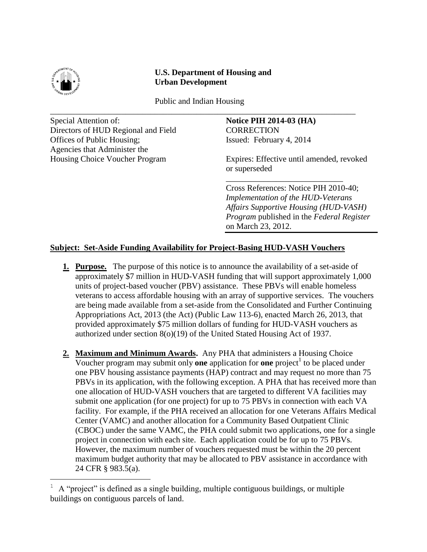

÷.

# **U.S. Department of Housing and Urban Development**

 Public and Indian Housing \_\_\_\_\_\_\_\_\_\_\_\_\_\_\_\_\_\_\_\_\_\_\_\_\_\_\_\_\_\_\_\_\_\_\_\_\_\_\_\_\_\_\_\_\_\_\_\_\_\_\_\_\_\_\_\_\_\_\_\_\_\_\_\_\_\_\_\_\_\_\_\_\_

Special Attention of: **Notice PIH 2014-03 (HA) Notice PIH 2014-03 (HA)** Directors of HUD Regional and Field CORRECTION Offices of Public Housing; Issued: February 4, 2014 Agencies that Administer the

Housing Choice Voucher Program Expires: Effective until amended, revoked or superseded

\_\_\_\_\_\_\_\_\_\_\_\_\_\_\_\_\_\_\_\_\_\_\_\_\_\_\_\_

Cross References: Notice PIH 2010-40; *Implementation of the HUD-Veterans Affairs Supportive Housing (HUD-VASH) Program* published in the *Federal Register*  on March 23, 2012.

# **Subject: Set-Aside Funding Availability for Project-Basing HUD-VASH Vouchers**

- **1. Purpose.** The purpose of this notice is to announce the availability of a set-aside of approximately \$7 million in HUD-VASH funding that will support approximately 1,000 units of project-based voucher (PBV) assistance. These PBVs will enable homeless veterans to access affordable housing with an array of supportive services. The vouchers are being made available from a set-aside from the Consolidated and Further Continuing Appropriations Act, 2013 (the Act) (Public Law 113-6), enacted March 26, 2013, that provided approximately \$75 million dollars of funding for HUD-VASH vouchers as authorized under section 8(o)(19) of the United Stated Housing Act of 1937.
- **2. Maximum and Minimum Awards.** Any PHA that administers a Housing Choice Voucher program may submit only **one** application for **one** project<sup>1</sup> to be placed under one PBV housing assistance payments (HAP) contract and may request no more than 75 PBVs in its application, with the following exception. A PHA that has received more than one allocation of HUD-VASH vouchers that are targeted to different VA facilities may submit one application (for one project) for up to 75 PBVs in connection with each VA facility. For example, if the PHA received an allocation for one Veterans Affairs Medical Center (VAMC) and another allocation for a Community Based Outpatient Clinic (CBOC) under the same VAMC, the PHA could submit two applications, one for a single project in connection with each site. Each application could be for up to 75 PBVs. However, the maximum number of vouchers requested must be within the 20 percent maximum budget authority that may be allocated to PBV assistance in accordance with 24 CFR § 983.5(a).

<sup>1</sup> A "project" is defined as a single building, multiple contiguous buildings, or multiple buildings on contiguous parcels of land.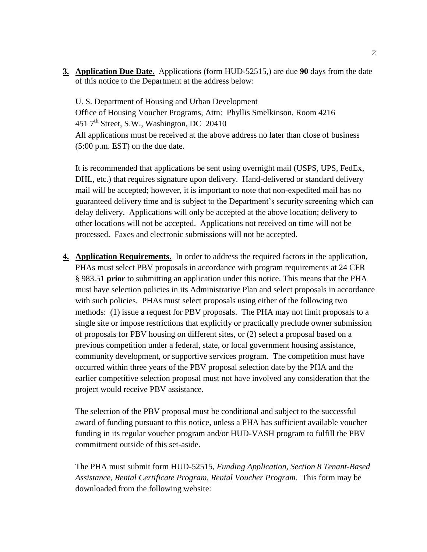**3. Application Due Date.** Applications (form HUD-52515,) are due **90** days from the date of this notice to the Department at the address below:

U. S. Department of Housing and Urban Development Office of Housing Voucher Programs, Attn: Phyllis Smelkinson, Room 4216 451 7<sup>th</sup> Street, S.W., Washington, DC 20410 All applications must be received at the above address no later than close of business (5:00 p.m. EST) on the due date.

It is recommended that applications be sent using overnight mail (USPS, UPS, FedEx, DHL, etc.) that requires signature upon delivery. Hand-delivered or standard delivery mail will be accepted; however, it is important to note that non-expedited mail has no guaranteed delivery time and is subject to the Department's security screening which can delay delivery. Applications will only be accepted at the above location; delivery to other locations will not be accepted. Applications not received on time will not be processed. Faxes and electronic submissions will not be accepted.

**4. Application Requirements.** In order to address the required factors in the application, PHAs must select PBV proposals in accordance with program requirements at 24 CFR § 983.51 **prior** to submitting an application under this notice. This means that the PHA must have selection policies in its Administrative Plan and select proposals in accordance with such policies. PHAs must select proposals using either of the following two methods: (1) issue a request for PBV proposals. The PHA may not limit proposals to a single site or impose restrictions that explicitly or practically preclude owner submission of proposals for PBV housing on different sites, or (2) select a proposal based on a previous competition under a federal, state, or local government housing assistance, community development, or supportive services program. The competition must have occurred within three years of the PBV proposal selection date by the PHA and the earlier competitive selection proposal must not have involved any consideration that the project would receive PBV assistance.

The selection of the PBV proposal must be conditional and subject to the successful award of funding pursuant to this notice, unless a PHA has sufficient available voucher funding in its regular voucher program and/or HUD-VASH program to fulfill the PBV commitment outside of this set-aside.

The PHA must submit form HUD-52515, *Funding Application, Section 8 Tenant-Based Assistance, Rental Certificate Program, Rental Voucher Program*. This form may be downloaded from the following website: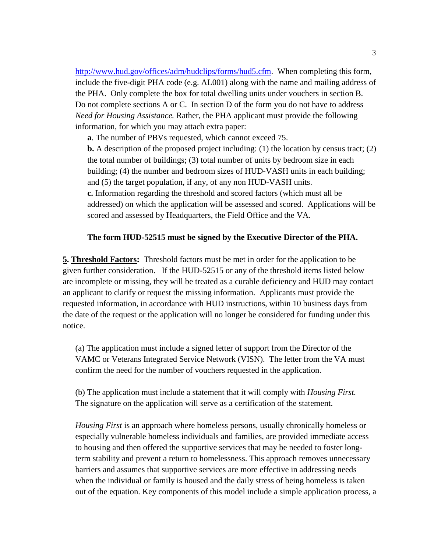[http://www.hud.gov/offices/adm/hudclips/forms/hud5.cfm.](http://www.hud.gov/offices/adm/hudclips/forms/hud5.cfm) When completing this form, include the five-digit PHA code (e.g. AL001) along with the name and mailing address of the PHA. Only complete the box for total dwelling units under vouchers in section B. Do not complete sections A or C. In section D of the form you do not have to address *Need for Housing Assistance.* Rather, the PHA applicant must provide the following information, for which you may attach extra paper:

**a**. The number of PBVs requested, which cannot exceed 75.

**b.** A description of the proposed project including: (1) the location by census tract; (2) the total number of buildings; (3) total number of units by bedroom size in each building; (4) the number and bedroom sizes of HUD-VASH units in each building; and (5) the target population, if any, of any non HUD-VASH units. **c.** Information regarding the threshold and scored factors (which must all be addressed) on which the application will be assessed and scored. Applications will be scored and assessed by Headquarters, the Field Office and the VA.

#### **The form HUD-52515 must be signed by the Executive Director of the PHA.**

**5. Threshold Factors:** Threshold factors must be met in order for the application to be given further consideration. If the HUD-52515 or any of the threshold items listed below are incomplete or missing, they will be treated as a curable deficiency and HUD may contact an applicant to clarify or request the missing information. Applicants must provide the requested information, in accordance with HUD instructions, within 10 business days from the date of the request or the application will no longer be considered for funding under this notice.

(a) The application must include a signed letter of support from the Director of the VAMC or Veterans Integrated Service Network (VISN). The letter from the VA must confirm the need for the number of vouchers requested in the application.

(b) The application must include a statement that it will comply with *Housing First.*  The signature on the application will serve as a certification of the statement*.*

*Housing First* is an approach where homeless persons, usually chronically homeless or especially vulnerable homeless individuals and families, are provided immediate access to housing and then offered the supportive services that may be needed to foster longterm stability and prevent a return to homelessness. This approach removes unnecessary barriers and assumes that supportive services are more effective in addressing needs when the individual or family is housed and the daily stress of being homeless is taken out of the equation. Key components of this model include a simple application process, a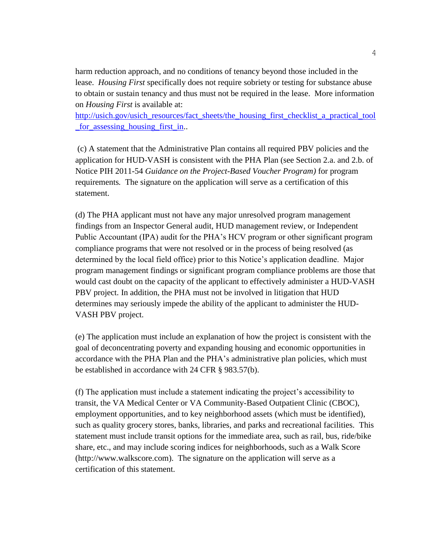harm reduction approach, and no conditions of tenancy beyond those included in the lease. *Housing First* specifically does not require sobriety or testing for substance abuse to obtain or sustain tenancy and thus must not be required in the lease. More information on *Housing First* is available at:

[http://usich.gov/usich\\_resources/fact\\_sheets/the\\_housing\\_first\\_checklist\\_a\\_practical\\_tool](http://usich.gov/usich_resources/fact_sheets/the_housing_first_checklist_a_practical_tool_for_assessing_housing_first_in) [\\_for\\_assessing\\_housing\\_first\\_in.](http://usich.gov/usich_resources/fact_sheets/the_housing_first_checklist_a_practical_tool_for_assessing_housing_first_in).

(c) A statement that the Administrative Plan contains all required PBV policies and the application for HUD-VASH is consistent with the PHA Plan (see Section 2.a. and 2.b. of Notice PIH 2011-54 *Guidance on the Project-Based Voucher Program)* for program requirements*.* The signature on the application will serve as a certification of this statement.

(d) The PHA applicant must not have any major unresolved program management findings from an Inspector General audit, HUD management review, or Independent Public Accountant (IPA) audit for the PHA's HCV program or other significant program compliance programs that were not resolved or in the process of being resolved (as determined by the local field office) prior to this Notice's application deadline. Major program management findings or significant program compliance problems are those that would cast doubt on the capacity of the applicant to effectively administer a HUD-VASH PBV project. In addition, the PHA must not be involved in litigation that HUD determines may seriously impede the ability of the applicant to administer the HUD-VASH PBV project.

(e) The application must include an explanation of how the project is consistent with the goal of deconcentrating poverty and expanding housing and economic opportunities in accordance with the PHA Plan and the PHA's administrative plan policies, which must be established in accordance with 24 CFR § 983.57(b).

(f) The application must include a statement indicating the project's accessibility to transit, the VA Medical Center or VA Community-Based Outpatient Clinic (CBOC), employment opportunities, and to key neighborhood assets (which must be identified), such as quality grocery stores, banks, libraries, and parks and recreational facilities. This statement must include transit options for the immediate area, such as rail, bus, ride/bike share, etc., and may include scoring indices for neighborhoods, such as a Walk Score (http://www.walkscore.com). The signature on the application will serve as a certification of this statement.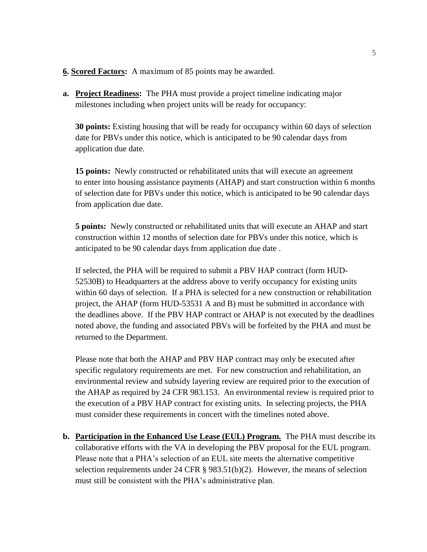### **6. Scored Factors:** A maximum of 85 points may be awarded.

**a. Project Readiness:** The PHA must provide a project timeline indicating major milestones including when project units will be ready for occupancy:

**30 points:** Existing housing that will be ready for occupancy within 60 days of selection date for PBVs under this notice, which is anticipated to be 90 calendar days from application due date.

**15 points:** Newly constructed or rehabilitated units that will execute an agreement to enter into housing assistance payments (AHAP) and start construction within 6 months of selection date for PBVs under this notice, which is anticipated to be 90 calendar days from application due date.

**5 points:** Newly constructed or rehabilitated units that will execute an AHAP and start construction within 12 months of selection date for PBVs under this notice, which is anticipated to be 90 calendar days from application due date .

If selected, the PHA will be required to submit a PBV HAP contract (form HUD-52530B) to Headquarters at the address above to verify occupancy for existing units within 60 days of selection. If a PHA is selected for a new construction or rehabilitation project, the AHAP (form HUD-53531 A and B) must be submitted in accordance with the deadlines above. If the PBV HAP contract or AHAP is not executed by the deadlines noted above, the funding and associated PBVs will be forfeited by the PHA and must be returned to the Department.

Please note that both the AHAP and PBV HAP contract may only be executed after specific regulatory requirements are met. For new construction and rehabilitation, an environmental review and subsidy layering review are required prior to the execution of the AHAP as required by 24 CFR 983.153. An environmental review is required prior to the execution of a PBV HAP contract for existing units. In selecting projects, the PHA must consider these requirements in concert with the timelines noted above.

**b. Participation in the Enhanced Use Lease (EUL) Program.** The PHA must describe its collaborative efforts with the VA in developing the PBV proposal for the EUL program. Please note that a PHA's selection of an EUL site meets the alternative competitive selection requirements under 24 CFR  $\S$  983.51(b)(2). However, the means of selection must still be consistent with the PHA's administrative plan.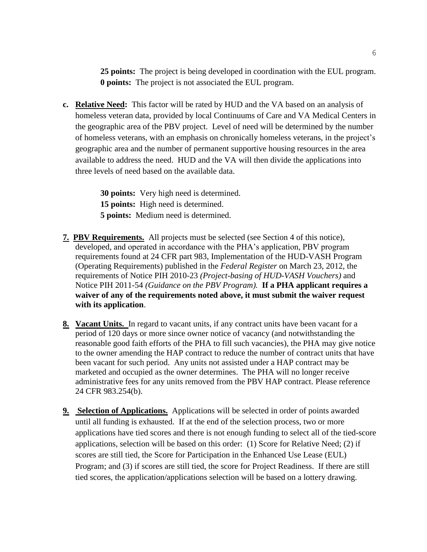**25 points:** The project is being developed in coordination with the EUL program. **0 points:** The project is not associated the EUL program.

**c. Relative Need:** This factor will be rated by HUD and the VA based on an analysis of homeless veteran data, provided by local Continuums of Care and VA Medical Centers in the geographic area of the PBV project. Level of need will be determined by the number of homeless veterans, with an emphasis on chronically homeless veterans, in the project's geographic area and the number of permanent supportive housing resources in the area available to address the need. HUD and the VA will then divide the applications into three levels of need based on the available data.

> **30 points:** Very high need is determined. **15 points:** High need is determined. **5 points:** Medium need is determined.

- **7. PBV Requirements.** All projects must be selected (see Section 4 of this notice), developed, and operated in accordance with the PHA's application, PBV program requirements found at 24 CFR part 983, Implementation of the HUD-VASH Program (Operating Requirements) published in the *Federal Register* on March 23, 2012, the requirements of Notice PIH 2010-23 *(Project-basing of HUD-VASH Vouchers)* and Notice PIH 2011-54 *(Guidance on the PBV Program).* **If a PHA applicant requires a waiver of any of the requirements noted above, it must submit the waiver request with its application**.
- **8. Vacant Units.** In regard to vacant units, if any contract units have been vacant for a period of 120 days or more since owner notice of vacancy (and notwithstanding the reasonable good faith efforts of the PHA to fill such vacancies), the PHA may give notice to the owner amending the HAP contract to reduce the number of contract units that have been vacant for such period. Any units not assisted under a HAP contract may be marketed and occupied as the owner determines. The PHA will no longer receive administrative fees for any units removed from the PBV HAP contract. Please reference 24 CFR 983.254(b).
- **9. Selection of Applications.** Applications will be selected in order of points awarded until all funding is exhausted. If at the end of the selection process, two or more applications have tied scores and there is not enough funding to select all of the tied-score applications, selection will be based on this order: (1) Score for Relative Need; (2) if scores are still tied, the Score for Participation in the Enhanced Use Lease (EUL) Program; and (3) if scores are still tied, the score for Project Readiness. If there are still tied scores, the application/applications selection will be based on a lottery drawing.